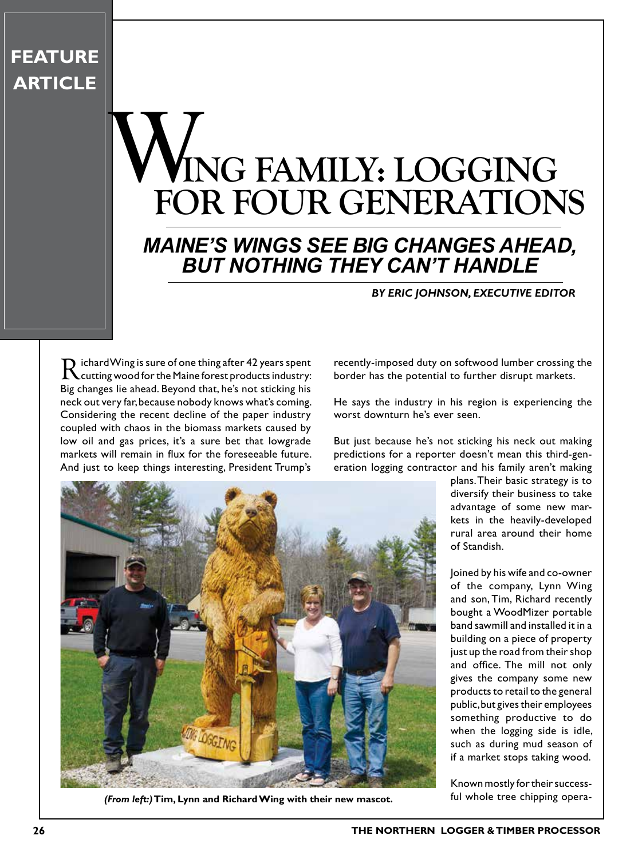### **FEATURE ARTICLE**

## **ING FAMILY: LOGGING FOR FOUR GENERATIONS** W<sub>EQ1</sub>

#### *MAINE'S WINGS SEE BIG CHANGES AHEAD, BUT NOTHING THEY CAN'T HANDLE*

#### *BY ERIC JOHNSON, EXECUTIVE EDITOR*

Richard Wing is sure of one thing after 42 years spent cutting wood for the Maine forest products industry: Big changes lie ahead. Beyond that, he's not sticking his neck out very far, because nobody knows what's coming. Considering the recent decline of the paper industry coupled with chaos in the biomass markets caused by low oil and gas prices, it's a sure bet that lowgrade markets will remain in flux for the foreseeable future. And just to keep things interesting, President Trump's

recently-imposed duty on softwood lumber crossing the border has the potential to further disrupt markets.

He says the industry in his region is experiencing the worst downturn he's ever seen.

But just because he's not sticking his neck out making predictions for a reporter doesn't mean this third-generation logging contractor and his family aren't making



**(From left:)** Tim, Lynn and Richard Wing with their new mascot. *ful whole tree chipping opera-*

plans. Their basic strategy is to diversify their business to take advantage of some new markets in the heavily-developed rural area around their home of Standish.

Joined by his wife and co-owner of the company, Lynn Wing and son, Tim, Richard recently bought a WoodMizer portable band sawmill and installed it in a building on a piece of property just up the road from their shop and office. The mill not only gives the company some new products to retail to the general public, but gives their employees something productive to do when the logging side is idle, such as during mud season of if a market stops taking wood.

Known mostly for their success-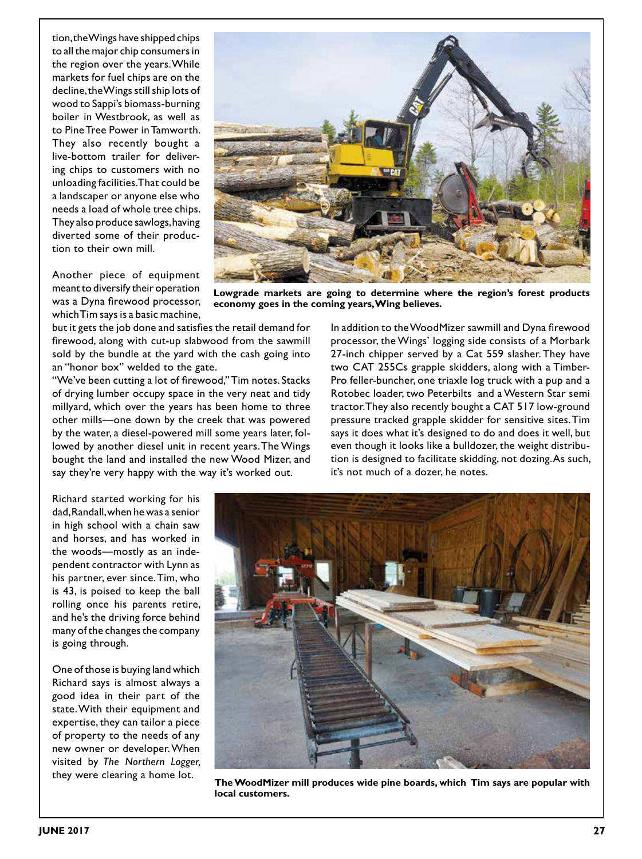tion, the Wings have shipped chips to all the major chip consumers in the region over the years. While markets for fuel chips are on the decline, the Wings still ship lots of wood to Sappi's biomass-burning boiler in Westbrook, as well as to Pine Tree Power in Tamworth. They also recently bought a live-bottom trailer for delivering chips to customers with no unloading facilities. That could be a landscaper or anyone else who needs a load of whole tree chips. They also produce sawlogs, having diverted some of their production to their own mill.

Another piece of equipment meant to diversify their operation was a Dyna firewood processor, which Tim says is a basic machine,



**Lowgrade markets are going to determine where the region's forest products economy goes in the coming years, Wing believes.**

but it gets the job done and satisfies the retail demand for firewood, along with cut-up slabwood from the sawmill sold by the bundle at the yard with the cash going into an "honor box" welded to the gate.

"We've been cutting a lot of firewood," Tim notes. Stacks of drying lumber occupy space in the very neat and tidy millyard, which over the years has been home to three other mills—one down by the creek that was powered by the water, a diesel-powered mill some years later, followed by another diesel unit in recent years. The Wings bought the land and installed the new Wood Mizer, and say they're very happy with the way it's worked out.

Richard started working for his dad, Randall, when he was a senior in high school with a chain saw and horses, and has worked in the woods—mostly as an independent contractor with Lynn as his partner, ever since. Tim, who is 43, is poised to keep the ball rolling once his parents retire, and he's the driving force behind many of the changes the company is going through.

One of those is buying land which Richard says is almost always a good idea in their part of the state. With their equipment and expertise, they can tailor a piece of property to the needs of any new owner or developer. When visited by *The Northern Logger,*  they were clearing a home lot.

In addition to the WoodMizer sawmill and Dyna firewood processor, the Wings' logging side consists of a Morbark 27-inch chipper served by a Cat 559 slasher. They have two CAT 255Cs grapple skidders, along with a Timber-Pro feller-buncher, one triaxle log truck with a pup and a Rotobec loader, two Peterbilts and a Western Star semi tractor. They also recently bought a CAT 517 low-ground pressure tracked grapple skidder for sensitive sites. Tim says it does what it's designed to do and does it well, but even though it looks like a bulldozer, the weight distribution is designed to facilitate skidding, not dozing. As such, it's not much of a dozer, he notes.



**The WoodMizer mill produces wide pine boards, which Tim says are popular with local customers.**